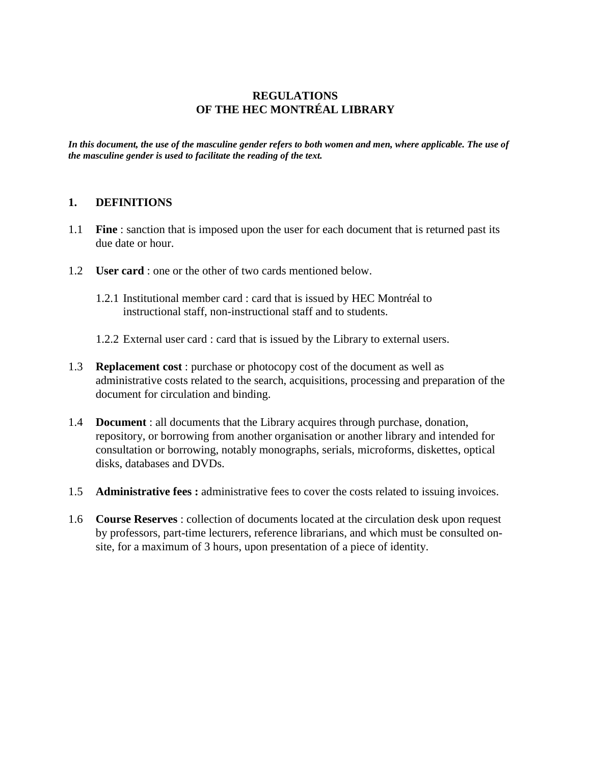# **REGULATIONS OF THE HEC MONTRÉAL LIBRARY**

*In this document, the use of the masculine gender refers to both women and men, where applicable. The use of the masculine gender is used to facilitate the reading of the text.*

### **1. DEFINITIONS**

- 1.1 **Fine** : sanction that is imposed upon the user for each document that is returned past its due date or hour.
- 1.2 **User card** : one or the other of two cards mentioned below.
	- 1.2.1 Institutional member card : card that is issued by HEC Montréal to instructional staff, non-instructional staff and to students.
	- 1.2.2 External user card : card that is issued by the Library to external users.
- 1.3 **Replacement cost** : purchase or photocopy cost of the document as well as administrative costs related to the search, acquisitions, processing and preparation of the document for circulation and binding.
- 1.4 **Document** : all documents that the Library acquires through purchase, donation, repository, or borrowing from another organisation or another library and intended for consultation or borrowing, notably monographs, serials, microforms, diskettes, optical disks, databases and DVDs.
- 1.5 **Administrative fees :** administrative fees to cover the costs related to issuing invoices.
- 1.6 **Course Reserves** : collection of documents located at the circulation desk upon request by professors, part-time lecturers, reference librarians, and which must be consulted onsite, for a maximum of 3 hours, upon presentation of a piece of identity.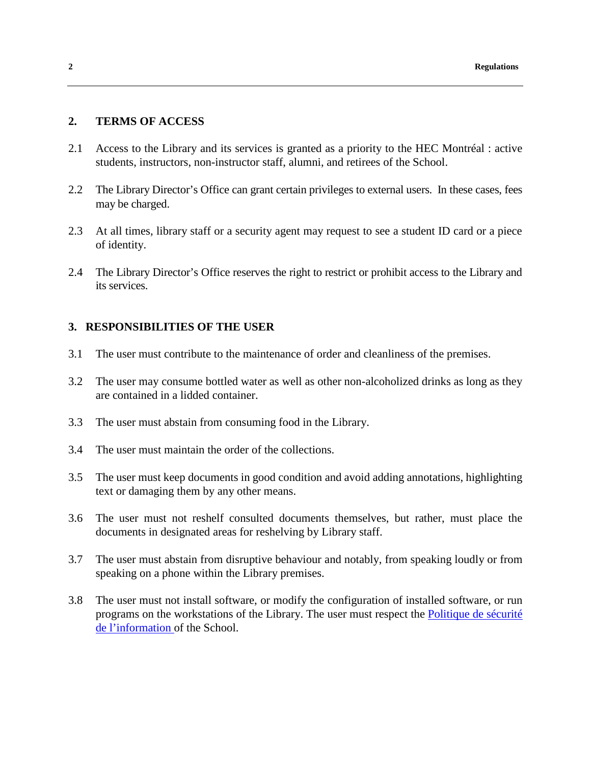#### **2. TERMS OF ACCESS**

- 2.1 Access to the Library and its services is granted as a priority to the HEC Montréal : active students, instructors, non-instructor staff, alumni, and retirees of the School.
- 2.2 The Library Director's Office can grant certain privileges to external users. In these cases, fees may be charged.
- 2.3 At all times, library staff or a security agent may request to see a student ID card or a piece of identity.
- 2.4 The Library Director's Office reserves the right to restrict or prohibit access to the Library and its services.

## **3. RESPONSIBILITIES OF THE USER**

- 3.1 The user must contribute to the maintenance of order and cleanliness of the premises.
- 3.2 The user may consume bottled water as well as other non-alcoholized drinks as long as they are contained in a lidded container.
- 3.3 The user must abstain from consuming food in the Library.
- 3.4 The user must maintain the order of the collections.
- 3.5 The user must keep documents in good condition and avoid adding annotations, highlighting text or damaging them by any other means.
- 3.6 The user must not reshelf consulted documents themselves, but rather, must place the documents in designated areas for reshelving by Library staff.
- 3.7 The user must abstain from disruptive behaviour and notably, from speaking loudly or from speaking on a phone within the Library premises.
- 3.8 The user must not install software, or modify the configuration of installed software, or run programs on the workstations of the Library. The user must respect the [Politique de sécurité](http://www.hec.ca/direction_services/secretariat_general/juridique/reglements_politiques/documents/politique_securite_information.pdf)  [de l'information o](http://www.hec.ca/direction_services/secretariat_general/juridique/reglements_politiques/documents/politique_securite_information.pdf)f the School.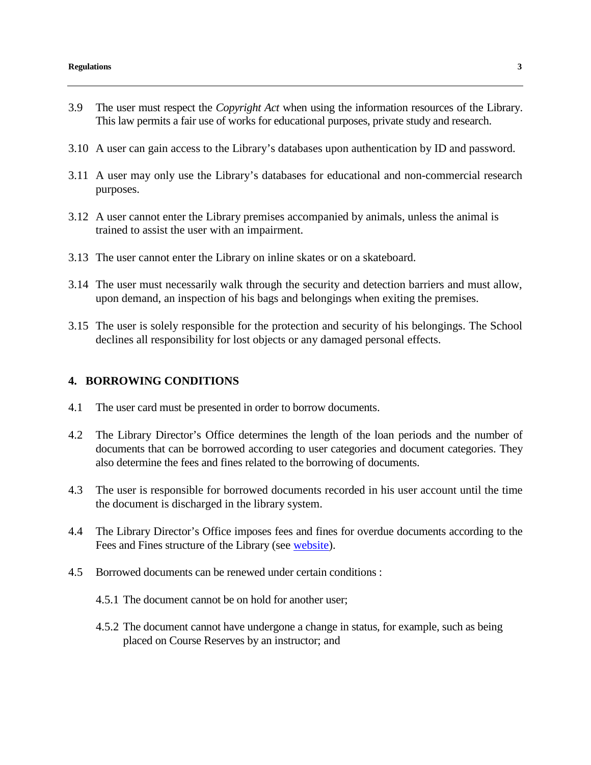- 3.9 The user must respect the *Copyright Act* when using the information resources of the Library. This law permits a fair use of works for educational purposes, private study and research.
- 3.10 A user can gain access to the Library's databases upon authentication by ID and password.
- 3.11 A user may only use the Library's databases for educational and non-commercial research purposes.
- 3.12 A user cannot enter the Library premises accompanied by animals, unless the animal is trained to assist the user with an impairment.
- 3.13 The user cannot enter the Library on inline skates or on a skateboard.
- 3.14 The user must necessarily walk through the security and detection barriers and must allow, upon demand, an inspection of his bags and belongings when exiting the premises.
- 3.15 The user is solely responsible for the protection and security of his belongings. The School declines all responsibility for lost objects or any damaged personal effects.

### **4. BORROWING CONDITIONS**

- 4.1 The user card must be presented in order to borrow documents.
- 4.2 The Library Director's Office determines the length of the loan periods and the number of documents that can be borrowed according to user categories and document categories. They also determine the fees and fines related to the borrowing of documents.
- 4.3 The user is responsible for borrowed documents recorded in his user account until the time the document is discharged in the library system.
- 4.4 The Library Director's Office imposes fees and fines for overdue documents according to the Fees and Fines structure of the Library (see [website\)](http://www.hec.ca/en/library/services/borrowing-ill.html).
- 4.5 Borrowed documents can be renewed under certain conditions :
	- 4.5.1 The document cannot be on hold for another user;
	- 4.5.2 The document cannot have undergone a change in status, for example, such as being placed on Course Reserves by an instructor; and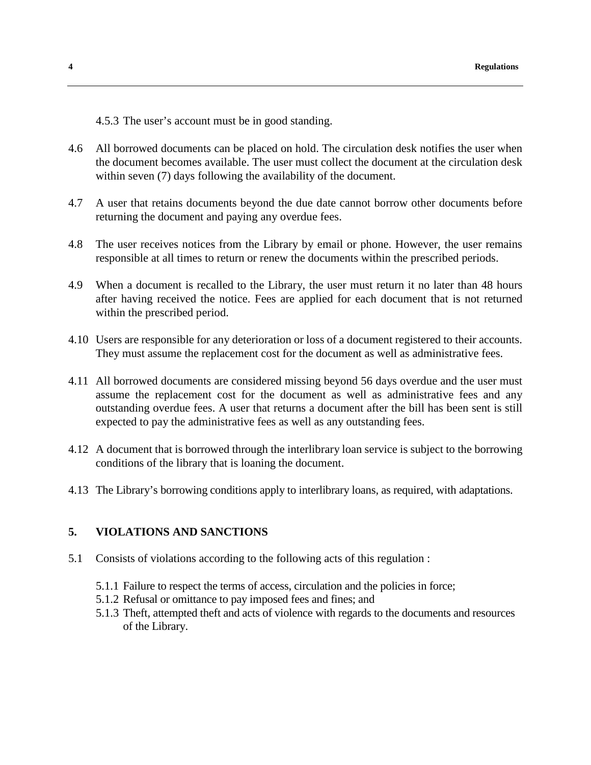4.5.3 The user's account must be in good standing.

- 4.6 All borrowed documents can be placed on hold. The circulation desk notifies the user when the document becomes available. The user must collect the document at the circulation desk within seven (7) days following the availability of the document.
- 4.7 A user that retains documents beyond the due date cannot borrow other documents before returning the document and paying any overdue fees.
- 4.8 The user receives notices from the Library by email or phone. However, the user remains responsible at all times to return or renew the documents within the prescribed periods.
- 4.9 When a document is recalled to the Library, the user must return it no later than 48 hours after having received the notice. Fees are applied for each document that is not returned within the prescribed period.
- 4.10 Users are responsible for any deterioration or loss of a document registered to their accounts. They must assume the replacement cost for the document as well as administrative fees.
- 4.11 All borrowed documents are considered missing beyond 56 days overdue and the user must assume the replacement cost for the document as well as administrative fees and any outstanding overdue fees. A user that returns a document after the bill has been sent is still expected to pay the administrative fees as well as any outstanding fees.
- 4.12 A document that is borrowed through the interlibrary loan service is subject to the borrowing conditions of the library that is loaning the document.
- 4.13 The Library's borrowing conditions apply to interlibrary loans, as required, with adaptations.

# **5. VIOLATIONS AND SANCTIONS**

- 5.1 Consists of violations according to the following acts of this regulation :
	- 5.1.1 Failure to respect the terms of access, circulation and the policies in force;
	- 5.1.2 Refusal or omittance to pay imposed fees and fines; and
	- 5.1.3 Theft, attempted theft and acts of violence with regards to the documents and resources of the Library.